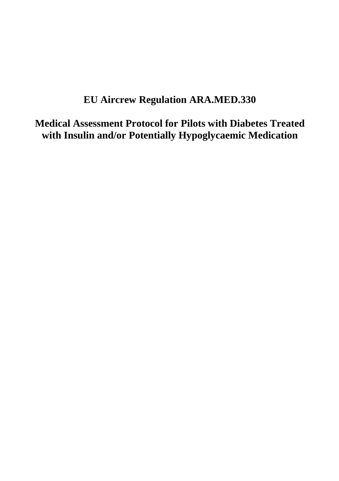# **EU Aircrew Regulation ARA.MED.330**

**Medical Assessment Protocol for Pilots with Diabetes Treated with Insulin and/or Potentially Hypoglycaemic Medication**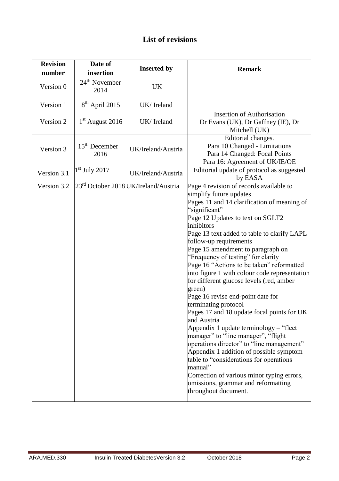# **List of revisions**

| <b>Revision</b><br>number | Date of<br>insertion    | <b>Inserted by</b>                               | <b>Remark</b>                                                                                                                                                                                                                                                                                                                                                                                                                                                                                                                                                                                                                                                                                                                                                                                                                                                                                                                                                      |
|---------------------------|-------------------------|--------------------------------------------------|--------------------------------------------------------------------------------------------------------------------------------------------------------------------------------------------------------------------------------------------------------------------------------------------------------------------------------------------------------------------------------------------------------------------------------------------------------------------------------------------------------------------------------------------------------------------------------------------------------------------------------------------------------------------------------------------------------------------------------------------------------------------------------------------------------------------------------------------------------------------------------------------------------------------------------------------------------------------|
| Version 0                 | $24th$ November<br>2014 | UK                                               |                                                                                                                                                                                                                                                                                                                                                                                                                                                                                                                                                                                                                                                                                                                                                                                                                                                                                                                                                                    |
| Version 1                 | $8th$ April 2015        | UK/Ireland                                       |                                                                                                                                                                                                                                                                                                                                                                                                                                                                                                                                                                                                                                                                                                                                                                                                                                                                                                                                                                    |
| Version 2                 | $1st$ August 2016       | UK/Ireland                                       | <b>Insertion of Authorisation</b><br>Dr Evans (UK), Dr Gaffney (IE), Dr<br>Mitchell (UK)                                                                                                                                                                                                                                                                                                                                                                                                                                                                                                                                                                                                                                                                                                                                                                                                                                                                           |
| Version 3                 | $15th$ December<br>2016 | UK/Ireland/Austria                               | Editorial changes.<br>Para 10 Changed - Limitations<br>Para 14 Changed: Focal Points<br>Para 16: Agreement of UK/IE/OE                                                                                                                                                                                                                                                                                                                                                                                                                                                                                                                                                                                                                                                                                                                                                                                                                                             |
| Version 3.1               | $1st$ July 2017         | UK/Ireland/Austria                               | Editorial update of protocol as suggested<br>by EASA                                                                                                                                                                                                                                                                                                                                                                                                                                                                                                                                                                                                                                                                                                                                                                                                                                                                                                               |
| Version 3.2               |                         | 23 <sup>rd</sup> October 2018 UK/Ireland/Austria | Page 4 revision of records available to<br>simplify future updates<br>Pages 11 and 14 clarification of meaning of<br>'significant"<br>Page 12 Updates to text on SGLT2<br>inhibitors<br>Page 13 text added to table to clarify LAPL<br>follow-up requirements<br>Page 15 amendment to paragraph on<br>"Frequency of testing" for clarity<br>Page 16 "Actions to be taken" reformatted<br>into figure 1 with colour code representation<br>for different glucose levels (red, amber<br>green)<br>Page 16 revise end-point date for<br>terminating protocol<br>Pages 17 and 18 update focal points for UK<br>and Austria<br>Appendix 1 update terminology – "fleet<br>manager" to "line manager", "flight<br>operations director" to "line management"<br>Appendix 1 addition of possible symptom<br>table to "considerations for operations<br>manual"<br>Correction of various minor typing errors,<br>omissions, grammar and reformatting<br>throughout document. |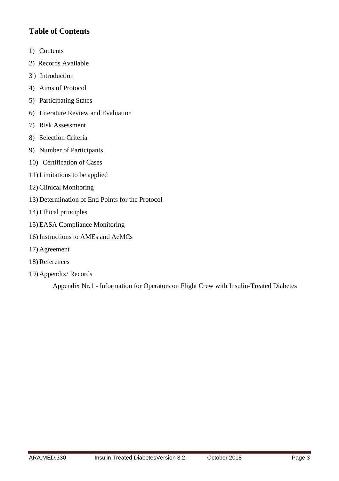# **Table of Contents**

- 1) Contents
- 2) Records Available
- 3 ) Introduction
- 4) Aims of Protocol
- 5) Participating States
- 6) Literature Review and Evaluation
- 7) Risk Assessment
- 8) Selection Criteria
- 9) Number of Participants
- 10) Certification of Cases
- 11) Limitations to be applied
- 12) Clinical Monitoring
- 13) Determination of End Points for the Protocol
- 14) Ethical principles
- 15) EASA Compliance Monitoring
- 16) Instructions to AMEs and AeMCs
- 17) Agreement
- 18) References
- 19) Appendix/ Records

Appendix Nr.1 - Information for Operators on Flight Crew with Insulin-Treated Diabetes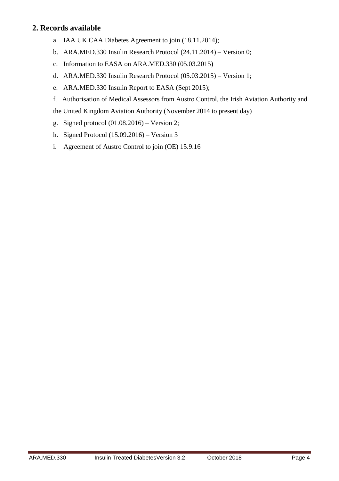### **2. Records available**

- a. IAA UK CAA Diabetes Agreement to join (18.11.2014);
- b. ARA.MED.330 Insulin Research Protocol (24.11.2014) Version 0;
- c. Information to EASA on ARA.MED.330 (05.03.2015)
- d. ARA.MED.330 Insulin Research Protocol (05.03.2015) Version 1;
- e. ARA.MED.330 Insulin Report to EASA (Sept 2015);
- f. Authorisation of Medical Assessors from Austro Control, the Irish Aviation Authority and

the United Kingdom Aviation Authority (November 2014 to present day)

- g. Signed protocol (01.08.2016) Version 2;
- h. Signed Protocol (15.09.2016) Version 3
- i. Agreement of Austro Control to join (OE) 15.9.16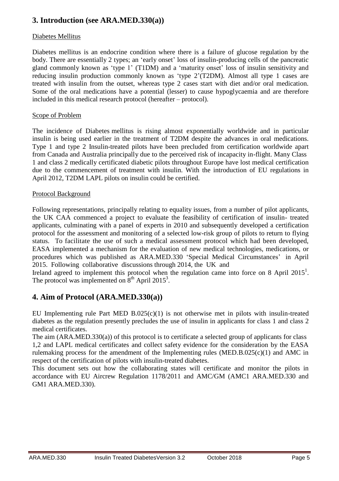# **3. Introduction (see ARA.MED.330(a))**

### Diabetes Mellitus

Diabetes mellitus is an endocrine condition where there is a failure of glucose regulation by the body. There are essentially 2 types; an 'early onset' loss of insulin-producing cells of the pancreatic gland commonly known as 'type 1' (T1DM) and a 'maturity onset' loss of insulin sensitivity and reducing insulin production commonly known as 'type 2'(T2DM). Almost all type 1 cases are treated with insulin from the outset, whereas type 2 cases start with diet and/or oral medication. Some of the oral medications have a potential (lesser) to cause hypoglycaemia and are therefore included in this medical research protocol (hereafter – protocol).

### Scope of Problem

The incidence of Diabetes mellitus is rising almost exponentially worldwide and in particular insulin is being used earlier in the treatment of T2DM despite the advances in oral medications. Type 1 and type 2 Insulin-treated pilots have been precluded from certification worldwide apart from Canada and Australia principally due to the perceived risk of incapacity in-flight. Many Class 1 and class 2 medically certificated diabetic pilots throughout Europe have lost medical certification due to the commencement of treatment with insulin. With the introduction of EU regulations in April 2012, T2DM LAPL pilots on insulin could be certified.

#### Protocol Background

Following representations, principally relating to equality issues, from a number of pilot applicants, the UK CAA commenced a project to evaluate the feasibility of certification of insulin- treated applicants, culminating with a panel of experts in 2010 and subsequently developed a certification protocol for the assessment and monitoring of a selected low-risk group of pilots to return to flying status. To facilitate the use of such a medical assessment protocol which had been developed, EASA implemented a mechanism for the evaluation of new medical technologies, medications, or procedures which was published as ARA.MED.330 'Special Medical Circumstances' in April 2015. Following collaborative discussions through 2014, the UK and

Ireland agreed to implement this protocol when the regulation came into force on 8 April 2015<sup>1</sup>. The protocol was implemented on  $8<sup>th</sup>$  April 2015<sup>3</sup>.

### **4. Aim of Protocol (ARA.MED.330(a))**

EU Implementing rule Part MED  $B.025(c)(1)$  is not otherwise met in pilots with insulin-treated diabetes as the regulation presently precludes the use of insulin in applicants for class 1 and class 2 medical certificates.

The aim (ARA.MED.330(a)) of this protocol is to certificate a selected group of applicants for class 1,2 and LAPL medical certificates and collect safety evidence for the consideration by the EASA rulemaking process for the amendment of the Implementing rules (MED.B.025 $(c)(1)$ ) and AMC in respect of the certification of pilots with insulin-treated diabetes.

This document sets out how the collaborating states will certificate and monitor the pilots in accordance with EU Aircrew Regulation 1178/2011 and AMC/GM (AMC1 ARA.MED.330 and GM1 ARA.MED.330).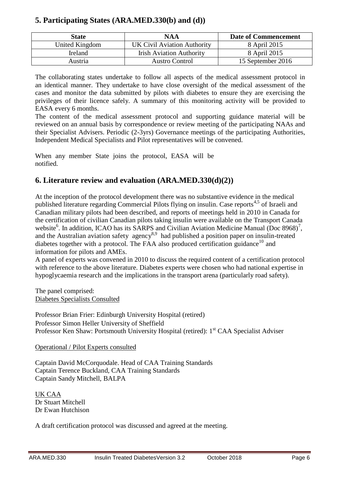# **5. Participating States (ARA.MED.330(b) and (d))**

| <b>State</b>   | <b>NAA</b>                      | <b>Date of Commencement</b> |
|----------------|---------------------------------|-----------------------------|
| United Kingdom | UK Civil Aviation Authority     | 8 April 2015                |
| Ireland        | <b>Irish Aviation Authority</b> | 8 April 2015                |
| Austria        | <b>Austro Control</b>           | 15 September 2016           |

The collaborating states undertake to follow all aspects of the medical assessment protocol in an identical manner. They undertake to have close oversight of the medical assessment of the cases and monitor the data submitted by pilots with diabetes to ensure they are exercising the privileges of their licence safely. A summary of this monitoring activity will be provided to EASA every 6 months.

The content of the medical assessment protocol and supporting guidance material will be reviewed on an annual basis by correspondence or review meeting of the participating NAAs and their Specialist Advisers. Periodic (2-3yrs) Governance meetings of the participating Authorities, Independent Medical Specialists and Pilot representatives will be convened.

When any member State joins the protocol, EASA will be notified.

# **6. Literature review and evaluation (ARA.MED.330(d)(2))**

At the inception of the protocol development there was no substantive evidence in the medical published literature regarding Commercial Pilots flying on insulin. Case reports<sup>4,5</sup> of Israeli and Canadian military pilots had been described, and reports of meetings held in 2010 in Canada for the certification of civilian Canadian pilots taking insulin were available on the Transport Canada website<sup>6</sup>. In addition, ICAO has its SARPS and Civilian Aviation Medicine Manual (Doc 8968)<sup>7</sup>, and the Australian aviation safety agency<sup>8,9</sup> had published a position paper on insulin-treated diabetes together with a protocol. The FAA also produced certification guidance<sup>10</sup> and information for pilots and AMEs.

A panel of experts was convened in 2010 to discuss the required content of a certification protocol with reference to the above literature. Diabetes experts were chosen who had national expertise in hypoglycaemia research and the implications in the transport arena (particularly road safety).

The panel comprised: Diabetes Specialists Consulted

Professor Brian Frier: Edinburgh University Hospital (retired) Professor Simon Heller University of Sheffield Professor Ken Shaw: Portsmouth University Hospital (retired): 1<sup>st</sup> CAA Specialist Adviser

### Operational / Pilot Experts consulted

Captain David McCorquodale. Head of CAA Training Standards Captain Terence Buckland, CAA Training Standards Captain Sandy Mitchell, BALPA

UK CAA Dr Stuart Mitchell Dr Ewan Hutchison

A draft certification protocol was discussed and agreed at the meeting.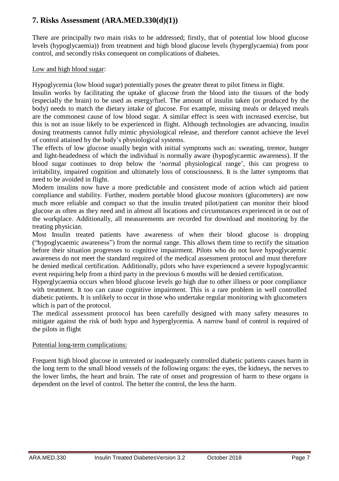### **7. Risks Assessment (ARA.MED.330(d)(1))**

There are principally two main risks to be addressed; firstly, that of potential low blood glucose levels (hypoglycaemia)) from treatment and high blood glucose levels (hyperglycaemia) from poor control, and secondly risks consequent on complications of diabetes.

### Low and high blood sugar:

Hypoglycemia (low blood sugar) potentially poses the greater threat to pilot fitness in flight.

Insulin works by facilitating the uptake of glucose from the blood into the tissues of the body (especially the brain) to be used as energy/fuel. The amount of insulin taken (or produced by the body) needs to match the dietary intake of glucose. For example, missing meals or delayed meals are the commonest cause of low blood sugar. A similar effect is seen with increased exercise, but this is not an issue likely to be experienced in flight. Although technologies are advancing, insulin dosing treatments cannot fully mimic physiological release, and therefore cannot achieve the level of control attained by the body's physiological systems.

The effects of low glucose usually begin with initial symptoms such as: sweating, tremor, hunger and light-headedness of which the individual is normally aware (hypoglycaemic awareness). If the blood sugar continues to drop below the 'normal physiological range', this can progress to irritability, impaired cognition and ultimately loss of consciousness. It is the latter symptoms that need to be avoided in flight.

Modern insulins now have a more predictable and consistent mode of action which aid patient compliance and stability. Further, modern portable blood glucose monitors (glucometers) are now much more reliable and compact so that the insulin treated pilot/patient can monitor their blood glucose as often as they need and in almost all locations and circumstances experienced in or out of the workplace. Additionally, all measurements are recorded for download and monitoring by the treating physician.

Most Insulin treated patients have awareness of when their blood glucose is dropping ("hypoglycaemic awareness") from the normal range. This allows them time to rectify the situation before their situation progresses to cognitive impairment. Pilots who do not have hypoglycaemic awareness do not meet the standard required of the medical assessment protocol and must therefore be denied medical certification. Additionally, pilots who have experienced a severe hypoglycaemic event requiring help from a third party in the previous 6 months will be denied certification.

Hyperglycaemia occurs when blood glucose levels go high due to other illness or poor compliance with treatment. It too can cause cognitive impairment. This is a rare problem in well controlled diabetic patients. It is unlikely to occur in those who undertake regular monitoring with glucometers which is part of the protocol.

The medical assessment protocol has been carefully designed with many safety measures to mitigate against the risk of both hypo and hyperglycemia. A narrow band of control is required of the pilots in flight

### Potential long-term complications:

Frequent high blood glucose in untreated or inadequately controlled diabetic patients causes harm in the long term to the small blood vessels of the following organs: the eyes, the kidneys, the nerves to the lower limbs, the heart and brain. The rate of onset and progression of harm to these organs is dependent on the level of control. The better the control, the less the harm.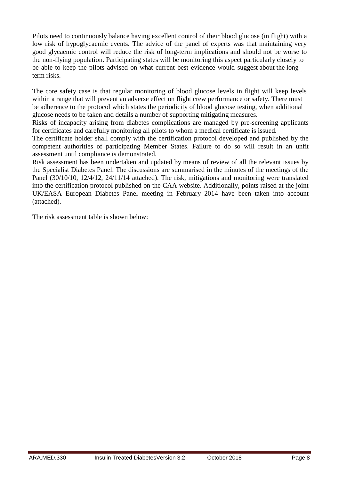Pilots need to continuously balance having excellent control of their blood glucose (in flight) with a low risk of hypoglycaemic events. The advice of the panel of experts was that maintaining very good glycaemic control will reduce the risk of long-term implications and should not be worse to the non-flying population. Participating states will be monitoring this aspect particularly closely to be able to keep the pilots advised on what current best evidence would suggest about the longterm risks.

The core safety case is that regular monitoring of blood glucose levels in flight will keep levels within a range that will prevent an adverse effect on flight crew performance or safety. There must be adherence to the protocol which states the periodicity of blood glucose testing, when additional glucose needs to be taken and details a number of supporting mitigating measures.

Risks of incapacity arising from diabetes complications are managed by pre-screening applicants for certificates and carefully monitoring all pilots to whom a medical certificate is issued.

The certificate holder shall comply with the certification protocol developed and published by the competent authorities of participating Member States. Failure to do so will result in an unfit assessment until compliance is demonstrated.

Risk assessment has been undertaken and updated by means of review of all the relevant issues by the Specialist Diabetes Panel. The discussions are summarised in the minutes of the meetings of the Panel (30/10/10, 12/4/12, 24/11/14 attached). The risk, mitigations and monitoring were translated into the certification protocol published on the CAA website. Additionally, points raised at the joint UK/EASA European Diabetes Panel meeting in February 2014 have been taken into account (attached).

The risk assessment table is shown below: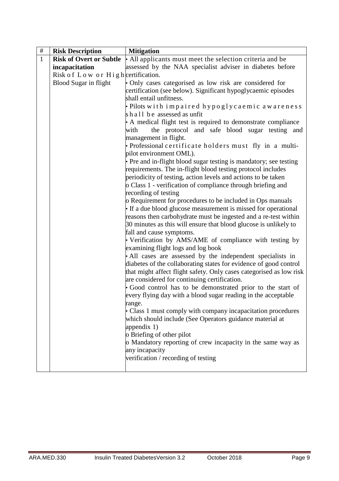| $\#$         | <b>Risk Description</b>            | <b>Mitigation</b>                                                      |  |
|--------------|------------------------------------|------------------------------------------------------------------------|--|
| $\mathbf{1}$ | <b>Risk of Overt or Subtle</b>     | • All applicants must meet the selection criteria and be               |  |
|              | incapacitation                     | assessed by the NAA specialist adviser in diabetes before              |  |
|              | Risk of Low or High certification. |                                                                        |  |
|              | <b>Blood Sugar in flight</b>       | • Only cases categorised as low risk are considered for                |  |
|              |                                    | certification (see below). Significant hypoglycaemic episodes          |  |
|              |                                    | shall entail unfitness.                                                |  |
|              |                                    | · Pilots with impaired hypoglycaemic awareness                         |  |
|              |                                    | shall be assessed as unfit                                             |  |
|              |                                    | • A medical flight test is required to demonstrate compliance          |  |
|              |                                    | the protocol and safe blood sugar testing and<br>with                  |  |
|              |                                    | management in flight.                                                  |  |
|              |                                    | · Professional certificate holders must fly in a multi-                |  |
|              |                                    | pilot environment OML).                                                |  |
|              |                                    | • Pre and in-flight blood sugar testing is mandatory; see testing      |  |
|              |                                    | requirements. The in-flight blood testing protocol includes            |  |
|              |                                    | periodicity of testing, action levels and actions to be taken          |  |
|              |                                    | o Class 1 - verification of compliance through briefing and            |  |
|              |                                    | recording of testing                                                   |  |
|              |                                    | o Requirement for procedures to be included in Ops manuals             |  |
|              |                                    | • If a due blood glucose measurement is missed for operational         |  |
|              |                                    | reasons then carbohydrate must be ingested and a re-test within        |  |
|              |                                    | 30 minutes as this will ensure that blood glucose is unlikely to       |  |
|              |                                    | fall and cause symptoms.                                               |  |
|              |                                    | • Verification by AMS/AME of compliance with testing by                |  |
|              |                                    | examining flight logs and log book                                     |  |
|              |                                    | · All cases are assessed by the independent specialists in             |  |
|              |                                    | diabetes of the collaborating states for evidence of good control      |  |
|              |                                    | that might affect flight safety. Only cases categorised as low risk    |  |
|              |                                    | are considered for continuing certification.                           |  |
|              |                                    | · Good control has to be demonstrated prior to the start of            |  |
|              |                                    | every flying day with a blood sugar reading in the acceptable          |  |
|              |                                    |                                                                        |  |
|              |                                    | range.<br>• Class 1 must comply with company incapacitation procedures |  |
|              |                                    |                                                                        |  |
|              |                                    | which should include (See Operators guidance material at               |  |
|              |                                    | appendix $1)$                                                          |  |
|              |                                    | o Briefing of other pilot                                              |  |
|              |                                    | o Mandatory reporting of crew incapacity in the same way as            |  |
|              |                                    | any incapacity                                                         |  |
|              |                                    | verification / recording of testing                                    |  |
|              |                                    |                                                                        |  |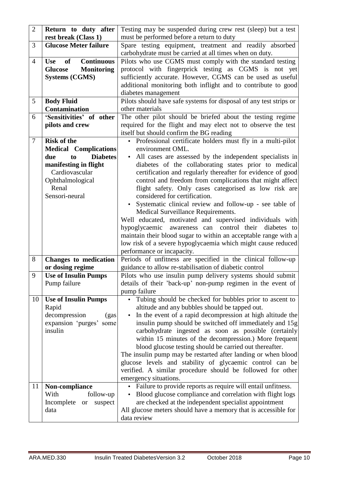| $\overline{2}$ | Return to duty after                         | Testing may be suspended during crew rest (sleep) but a test                |  |
|----------------|----------------------------------------------|-----------------------------------------------------------------------------|--|
|                | rest break (Class 1)                         | must be performed before a return to duty                                   |  |
| 3              | <b>Glucose Meter failure</b>                 | Spare testing equipment, treatment and readily absorbed                     |  |
|                |                                              | carbohydrate must be carried at all times when on duty.                     |  |
| $\overline{4}$ | <b>Continuous</b><br><b>Use</b><br><b>of</b> | Pilots who use CGMS must comply with the standard testing                   |  |
|                | <b>Monitoring</b><br><b>Glucose</b>          | protocol with fingerprick testing as CGMS is not yet                        |  |
|                | <b>Systems (CGMS)</b>                        | sufficiently accurate. However, CGMS can be used as useful                  |  |
|                |                                              | additional monitoring both inflight and to contribute to good               |  |
|                |                                              | diabetes management                                                         |  |
| 5              | <b>Body Fluid</b>                            | Pilots should have safe systems for disposal of any test strips or          |  |
|                | Contamination                                | other materials                                                             |  |
| 6              | 'Sensitivities' of other                     | The other pilot should be briefed about the testing regime                  |  |
|                | pilots and crew                              | required for the flight and may elect not to observe the test               |  |
|                |                                              | itself but should confirm the BG reading                                    |  |
| $\overline{7}$ | <b>Risk of the</b>                           | • Professional certificate holders must fly in a multi-pilot                |  |
|                | <b>Medical Complications</b>                 | environment OML.                                                            |  |
|                | <b>Diabetes</b><br>to<br>due                 | All cases are assessed by the independent specialists in                    |  |
|                | manifesting in flight                        | diabetes of the collaborating states prior to medical                       |  |
|                | Cardiovascular                               | certification and regularly thereafter for evidence of good                 |  |
|                | Ophthalmological                             | control and freedom from complications that might affect                    |  |
|                | Renal                                        | flight safety. Only cases categorised as low risk are                       |  |
|                | Sensori-neural                               | considered for certification.                                               |  |
|                |                                              | Systematic clinical review and follow-up - see table of                     |  |
|                |                                              | Medical Surveillance Requirements.                                          |  |
|                |                                              | Well educated, motivated and supervised individuals with                    |  |
|                |                                              | awareness can control their diabetes to<br>hypoglycaemic                    |  |
|                |                                              | maintain their blood sugar to within an acceptable range with a             |  |
|                |                                              | low risk of a severe hypoglycaemia which might cause reduced                |  |
|                |                                              | performance or incapacity.                                                  |  |
| 8              | Changes to medication                        | Periods of unfitness are specified in the clinical follow-up                |  |
| 9              | or dosing regime                             | guidance to allow re-stabilisation of diabetic control                      |  |
|                | <b>Use of Insulin Pumps</b>                  | Pilots who use insulin pump delivery systems should submit                  |  |
|                | Pump failure                                 | details of their 'back-up' non-pump regimen in the event of<br>pump failure |  |
| 10             | <b>Use of Insulin Pumps</b>                  | Tubing should be checked for bubbles prior to ascent to                     |  |
|                | Rapid                                        | altitude and any bubbles should be tapped out.                              |  |
|                | decompression<br>(gas                        | In the event of a rapid decompression at high altitude the                  |  |
|                | expansion 'purges' some                      | insulin pump should be switched off immediately and 15g                     |  |
|                | insulin                                      | carbohydrate ingested as soon as possible (certainly                        |  |
|                |                                              | within 15 minutes of the decompression.) More frequent                      |  |
|                |                                              | blood glucose testing should be carried out thereafter.                     |  |
|                |                                              | The insulin pump may be restarted after landing or when blood               |  |
|                |                                              | glucose levels and stability of glycaemic control can be                    |  |
|                |                                              | verified. A similar procedure should be followed for other                  |  |
|                |                                              | emergency situations.                                                       |  |
| 11             | Non-compliance                               | • Failure to provide reports as require will entail unfitness.              |  |
|                | With<br>follow-up                            | Blood glucose compliance and correlation with flight logs                   |  |
|                | Incomplete<br><b>or</b><br>suspect           | are checked at the independent specialist appointment                       |  |
|                | data                                         | All glucose meters should have a memory that is accessible for              |  |
|                |                                              | data review                                                                 |  |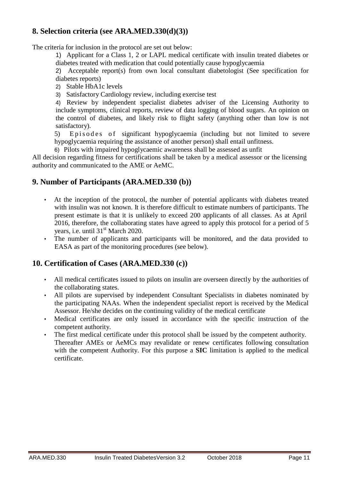### **8. Selection criteria (see ARA.MED.330(d)(3))**

The criteria for inclusion in the protocol are set out below:

1) Applicant for a Class 1, 2 or LAPL medical certificate with insulin treated diabetes or diabetes treated with medication that could potentially cause hypoglycaemia

2) Acceptable report(s) from own local consultant diabetologist (See specification for diabetes reports)

2) Stable HbA1c levels

3) Satisfactory Cardiology review, including exercise test

4) Review by independent specialist diabetes adviser of the Licensing Authority to include symptoms, clinical reports, review of data logging of blood sugars. An opinion on the control of diabetes, and likely risk to flight safety (anything other than low is not satisfactory).

5) Episodes of significant hypoglycaemia (including but not limited to severe hypoglycaemia requiring the assistance of another person) shall entail unfitness.

6) Pilots with impaired hypoglycaemic awareness shall be assessed as unfit

All decision regarding fitness for certifications shall be taken by a medical assessor or the licensing authority and communicated to the AME or AeMC.

### **9. Number of Participants (ARA.MED.330 (b))**

- At the inception of the protocol, the number of potential applicants with diabetes treated with insulin was not known. It is therefore difficult to estimate numbers of participants. The present estimate is that it is unlikely to exceed 200 applicants of all classes. As at April 2016, therefore, the collaborating states have agreed to apply this protocol for a period of 5 years, i.e. until 31<sup>st</sup> March 2020.
- The number of applicants and participants will be monitored, and the data provided to EASA as part of the monitoring procedures (see below).

### **10. Certification of Cases (ARA.MED.330 (c))**

- All medical certificates issued to pilots on insulin are overseen directly by the authorities of the collaborating states.
- All pilots are supervised by independent Consultant Specialists in diabetes nominated by the participating NAAs. When the independent specialist report is received by the Medical Assessor. He/she decides on the continuing validity of the medical certificate
- Medical certificates are only issued in accordance with the specific instruction of the competent authority.
- The first medical certificate under this protocol shall be issued by the competent authority. Thereafter AMEs or AeMCs may revalidate or renew certificates following consultation with the competent Authority. For this purpose a **SIC** limitation is applied to the medical certificate.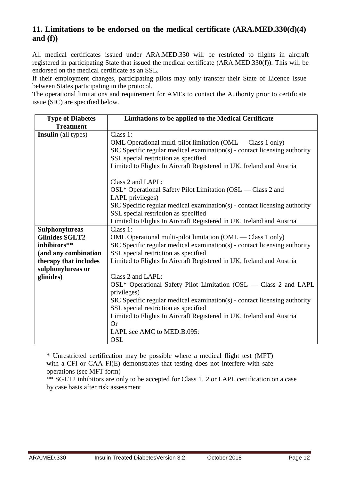### **11. Limitations to be endorsed on the medical certificate (ARA.MED.330(d)(4) and (f))**

All medical certificates issued under ARA.MED.330 will be restricted to flights in aircraft registered in participating State that issued the medical certificate (ARA.MED.330(f)). This will be endorsed on the medical certificate as an SSL.

If their employment changes, participating pilots may only transfer their State of Licence Issue between States participating in the protocol.

The operational limitations and requirement for AMEs to contact the Authority prior to certificate issue (SIC) are specified below.

| <b>Type of Diabetes</b>    | Limitations to be applied to the Medical Certificate                      |  |  |
|----------------------------|---------------------------------------------------------------------------|--|--|
| <b>Treatment</b>           |                                                                           |  |  |
| <b>Insulin</b> (all types) | Class 1:                                                                  |  |  |
|                            | OML Operational multi-pilot limitation (OML — Class 1 only)               |  |  |
|                            | SIC Specific regular medical examination(s) - contact licensing authority |  |  |
|                            | SSL special restriction as specified                                      |  |  |
|                            | Limited to Flights In Aircraft Registered in UK, Ireland and Austria      |  |  |
|                            | Class 2 and LAPL:                                                         |  |  |
|                            | OSL* Operational Safety Pilot Limitation (OSL — Class 2 and               |  |  |
|                            | LAPL privileges)                                                          |  |  |
|                            | SIC Specific regular medical examination(s) - contact licensing authority |  |  |
|                            | SSL special restriction as specified                                      |  |  |
|                            | Limited to Flights In Aircraft Registered in UK, Ireland and Austria      |  |  |
| <b>Sulphonylureas</b>      | Class 1:                                                                  |  |  |
| <b>Glinides SGLT2</b>      | OML Operational multi-pilot limitation (OML — Class 1 only)               |  |  |
| inhibitors**               | SIC Specific regular medical examination(s) - contact licensing authority |  |  |
| (and any combination       | SSL special restriction as specified                                      |  |  |
| therapy that includes      | Limited to Flights In Aircraft Registered in UK, Ireland and Austria      |  |  |
| sulphonylureas or          |                                                                           |  |  |
| glinides)                  | Class 2 and LAPL:                                                         |  |  |
|                            | OSL* Operational Safety Pilot Limitation (OSL — Class 2 and LAPL          |  |  |
|                            | privileges)                                                               |  |  |
|                            | SIC Specific regular medical examination(s) - contact licensing authority |  |  |
|                            | SSL special restriction as specified                                      |  |  |
|                            | Limited to Flights In Aircraft Registered in UK, Ireland and Austria      |  |  |
|                            | <b>Or</b>                                                                 |  |  |
|                            | LAPL see AMC to MED.B.095:                                                |  |  |
|                            | <b>OSL</b>                                                                |  |  |

\* Unrestricted certification may be possible where a medical flight test (MFT) with a CFI or CAA FI(E) demonstrates that testing does not interfere with safe operations (see MFT form)

\*\* SGLT2 inhibitors are only to be accepted for Class 1, 2 or LAPL certification on a case by case basis after risk assessment.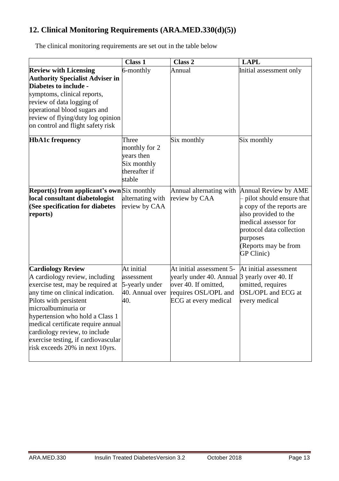# **12. Clinical Monitoring Requirements (ARA.MED.330(d)(5))**

The clinical monitoring requirements are set out in the table below

|                                                                                                                                                                                                                                                                                                                                                                          | <b>Class 1</b>                                                                 | Class 2                                                                                                                                                 | <b>LAPL</b>                                                                                                                                                                                                 |
|--------------------------------------------------------------------------------------------------------------------------------------------------------------------------------------------------------------------------------------------------------------------------------------------------------------------------------------------------------------------------|--------------------------------------------------------------------------------|---------------------------------------------------------------------------------------------------------------------------------------------------------|-------------------------------------------------------------------------------------------------------------------------------------------------------------------------------------------------------------|
| <b>Review with Licensing</b><br><b>Authority Specialist Adviser in</b><br>Diabetes to include -<br>symptoms, clinical reports,<br>review of data logging of<br>operational blood sugars and<br>review of flying/duty log opinion<br>on control and flight safety risk                                                                                                    | 6-monthly                                                                      | Annual                                                                                                                                                  | Initial assessment only                                                                                                                                                                                     |
| <b>HbA1c</b> frequency                                                                                                                                                                                                                                                                                                                                                   | Three<br>monthly for 2<br>years then<br>Six monthly<br>thereafter if<br>stable | Six monthly                                                                                                                                             | Six monthly                                                                                                                                                                                                 |
| <b>Report(s) from applicant's own</b> Six monthly<br>local consultant diabetologist<br>(See specification for diabetes<br>reports)                                                                                                                                                                                                                                       | alternating with<br>review by CAA                                              | Annual alternating with<br>review by CAA                                                                                                                | Annual Review by AME<br>pilot should ensure that<br>a copy of the reports are<br>also provided to the<br>medical assessor for<br>protocol data collection<br>purposes<br>(Reports may be from<br>GP Clinic) |
| <b>Cardiology Review</b><br>A cardiology review, including<br>exercise test, may be required at<br>any time on clinical indication.<br>Pilots with persistent<br>microalbuminuria or<br>hypertension who hold a Class 1<br>medical certificate require annual<br>cardiology review, to include<br>exercise testing, if cardiovascular<br>risk exceeds 20% in next 10yrs. | At initial<br>assessment<br>5-yearly under<br>40. Annual over<br>40.           | At initial assessment 5-<br>yearly under 40. Annual 3 yearly over 40. If<br>over 40. If omitted,<br>requires OSL/OPL and<br><b>ECG</b> at every medical | At initial assessment<br>omitted, requires<br>OSL/OPL and ECG at<br>every medical                                                                                                                           |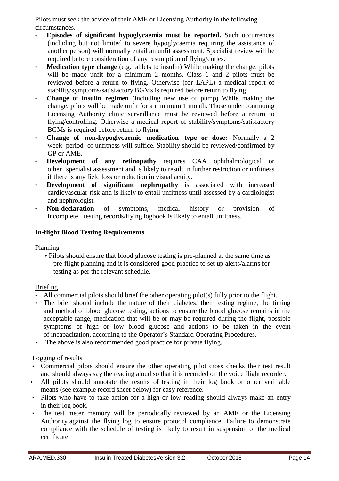Pilots must seek the advice of their AME or Licensing Authority in the following circumstances.

- **Episodes of significant hypoglycaemia must be reported.** Such occurrences (including but not limited to severe hypoglycaemia requiring the assistance of another person) will normally entail an unfit assessment. Specialist review will be required before consideration of any resumption of flying/duties.
- **Medication type change** (e.g. tablets to insulin) While making the change, pilots will be made unfit for a minimum 2 months. Class 1 and 2 pilots must be reviewed before a return to flying. Otherwise (for LAPL) a medical report of stability/symptoms/satisfactory BGMs is required before return to flying
- **Change of insulin regimen** (including new use of pump) While making the change, pilots will be made unfit for a minimum 1 month. Those under continuing Licensing Authority clinic surveillance must be reviewed before a return to flying/controlling. Otherwise a medical report of stability/symptoms/satisfactory BGMs is required before return to flying
- **Change of non-hypoglycaemic medication type or dose:** Normally a 2 week period of unfitness will suffice. Stability should be reviewed/confirmed by GP or AME.
- **Development of any retinopathy** requires CAA ophthalmological or other specialist assessment and is likely to result in further restriction or unfitness if there is any field loss or reduction in visual acuity.
- **Development of significant nephropathy** is associated with increased cardiovascular risk and is likely to entail unfitness until assessed by a cardiologist and nephrologist.
- **Non-declaration** of symptoms, medical history or provision of incomplete testing records/flying logbook is likely to entail unfitness.

### **In-flight Blood Testing Requirements**

Planning

• Pilots should ensure that blood glucose testing is pre-planned at the same time as pre-flight planning and it is considered good practice to set up alerts/alarms for testing as per the relevant schedule.

### Briefing

- All commercial pilots should brief the other operating pilot(s) fully prior to the flight.
- The brief should include the nature of their diabetes, their testing regime, the timing and method of blood glucose testing, actions to ensure the blood glucose remains in the acceptable range, medication that will be or may be required during the flight, possible symptoms of high or low blood glucose and actions to be taken in the event of incapacitation, according to the Operator's Standard Operating Procedures.
- The above is also recommended good practice for private flying.

### Logging of results

- Commercial pilots should ensure the other operating pilot cross checks their test result and should always say the reading aloud so that it is recorded on the voice flight recorder.
- All pilots should annotate the results of testing in their log book or other verifiable means (see example record sheet below) for easy reference.
- Pilots who have to take action for a high or low reading should always make an entry in their log book.
- The test meter memory will be periodically reviewed by an AME or the Licensing Authority against the flying log to ensure protocol compliance. Failure to demonstrate compliance with the schedule of testing is likely to result in suspension of the medical certificate.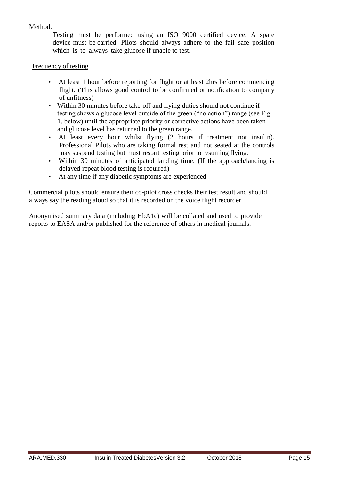### Method.

Testing must be performed using an ISO 9000 certified device. A spare device must be carried. Pilots should always adhere to the fail- safe position which is to always take glucose if unable to test.

### Frequency of testing

- At least 1 hour before reporting for flight or at least 2hrs before commencing flight. (This allows good control to be confirmed or notification to company of unfitness)
- Within 30 minutes before take-off and flying duties should not continue if testing shows a glucose level outside of the green ("no action") range (see Fig 1. below) until the appropriate priority or corrective actions have been taken and glucose level has returned to the green range.
- At least every hour whilst flying (2 hours if treatment not insulin). Professional Pilots who are taking formal rest and not seated at the controls may suspend testing but must restart testing prior to resuming flying.
- Within 30 minutes of anticipated landing time. (If the approach/landing is delayed repeat blood testing is required)
- At any time if any diabetic symptoms are experienced

Commercial pilots should ensure their co-pilot cross checks their test result and should always say the reading aloud so that it is recorded on the voice flight recorder.

Anonymised summary data (including HbA1c) will be collated and used to provide reports to EASA and/or published for the reference of others in medical journals.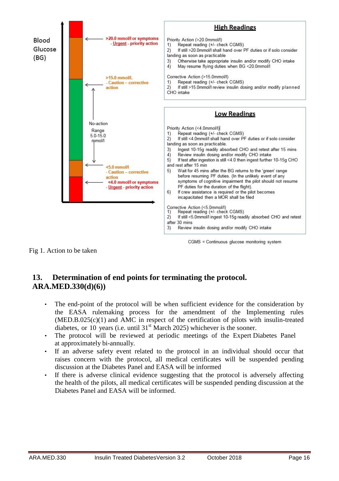

Fig 1. Action to be taken

# **13. Determination of end points for terminating the protocol. ARA.MED.330(d)(6))**

- The end-point of the protocol will be when sufficient evidence for the consideration by the EASA rulemaking process for the amendment of the Implementing rules  $(MED.B.025(c)(1)$  and AMC in respect of the certification of pilots with insulin-treated diabetes, or 10 years (i.e. until  $31<sup>st</sup>$  March 2025) whichever is the sooner.
- The protocol will be reviewed at periodic meetings of the Expert Diabetes Panel at approximately bi-annually.
- If an adverse safety event related to the protocol in an individual should occur that raises concern with the protocol, all medical certificates will be suspended pending discussion at the Diabetes Panel and EASA will be informed
- If there is adverse clinical evidence suggesting that the protocol is adversely affecting the health of the pilots, all medical certificates will be suspended pending discussion at the Diabetes Panel and EASA will be informed.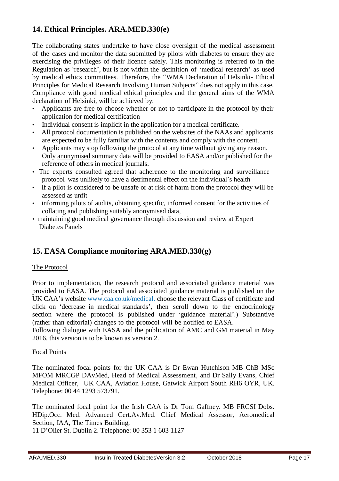# **14. Ethical Principles. ARA.MED.330(e)**

The collaborating states undertake to have close oversight of the medical assessment of the cases and monitor the data submitted by pilots with diabetes to ensure they are exercising the privileges of their licence safely. This monitoring is referred to in the Regulation as 'research', but is not within the definition of 'medical research' as used by medical ethics committees. Therefore, the "WMA Declaration of Helsinki- Ethical Principles for Medical Research Involving Human Subjects" does not apply in this case. Compliance with good medical ethical principles and the general aims of the WMA declaration of Helsinki, will be achieved by:

- Applicants are free to choose whether or not to participate in the protocol by their application for medical certification
- Individual consent is implicit in the application for a medical certificate.
- All protocol documentation is published on the websites of the NAAs and applicants are expected to be fully familiar with the contents and comply with the content.
- Applicants may stop following the protocol at any time without giving any reason. Only anonymised summary data will be provided to EASA and/or published for the reference of others in medical journals.
- The experts consulted agreed that adherence to the monitoring and surveillance protocol was unlikely to have a detrimental effect on the individual's health
- If a pilot is considered to be unsafe or at risk of harm from the protocol they will be assessed as unfit
- informing pilots of audits, obtaining specific, informed consent for the activities of collating and publishing suitably anonymised data,
- maintaining good medical governance through discussion and review at Expert Diabetes Panels

# **15. EASA Compliance monitoring ARA.MED.330(g)**

### The Protocol

Prior to implementation, the research protocol and associated guidance material was provided to EASA. The protocol and associated guidance material is published on the UK CAA's website [www.caa.co.uk/medical.](http://www.caa.co.uk/medical) choose the relevant Class of certificate and click on 'decrease in medical standards', then scroll down to the endocrinology section where the protocol is published under 'guidance material'.) Substantive (rather than editorial) changes to the protocol will be notified to EASA.

Following dialogue with EASA and the publication of AMC and GM material in May 2016. this version is to be known as version 2.

### Focal Points

The nominated focal points for the UK CAA is Dr Ewan Hutchison MB ChB MSc MFOM MRCGP DAvMed, Head of Medical Assessment, and Dr Sally Evans, Chief Medical Officer, UK CAA, Aviation House, Gatwick Airport South RH6 OYR, UK. Telephone: 00 44 1293 573791.

The nominated focal point for the Irish CAA is Dr Tom Gaffney. MB FRCSI Dobs. HDip.Occ. Med. Advanced Cert.Av.Med. Chief Medical Assessor, Aeromedical Section, IAA, The Times Building,

11 D'Olier St. Dublin 2. Telephone: 00 353 1 603 1127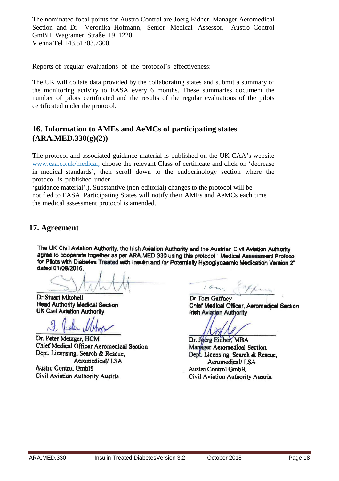The nominated focal points for Austro Control are Joerg Eidher, Manager Aeromedical Section and Dr Veronika Hofmann, Senior Medical Assessor, Austro Control GmBH Wagramer Straße 19 1220 Vienna Tel +43.51703.7300.

Reports of regular evaluations of the protocol's effectiveness:

The UK will collate data provided by the collaborating states and submit a summary of the monitoring activity to EASA every 6 months. These summaries document the number of pilots certificated and the results of the regular evaluations of the pilots certificated under the protocol.

### **16. Information to AMEs and AeMCs of participating states (ARA.MED.330(g)(2))**

The protocol and associated guidance material is published on the UK CAA's website [www.caa.co.uk/medical,](http://www.caa.co.uk/medical) choose the relevant Class of certificate and click on 'decrease in medical standards', then scroll down to the endocrinology section where the protocol is published under

'guidance material'.). Substantive (non-editorial) changes to the protocol will be notified to EASA. Participating States will notify their AMEs and AeMCs each time the medical assessment protocol is amended.

### **17. Agreement**

The UK Civil Aviation Authority, the Irish Aviation Authority and the Austrian Civil Aviation Authority agree to cooperate together as per ARA.MED.330 using this protocol " Medical Assessment Protocol for Pilots with Diabetes Treated with Insulin and /or Potentially Hypoglycaemic Medication Version 2" dated 01/08/2016.

Dr Stuart Mitchell **Head Authority Medical Section UK Civil Aviation Authority** 

Dr. Peter Metzger, HCM **Chief Medical Officer Aeromedical Section** Dept. Licensing, Search & Rescue. Aeromedical/LSA **Austro Control GmbH** Civil Aviation Authority Austria

 $16 - 4$ 

Dr Tom Gaffnev Chief Medical Officer, Aeromedical Section **Irish Aviation Authority** 

Dr. Joerg Eidher, MBA **Manager Aeromedical Section** Dept. Licensing, Search & Rescue. Aeromedical/LSA **Austro Control GmbH** Civil Aviation Authority Austria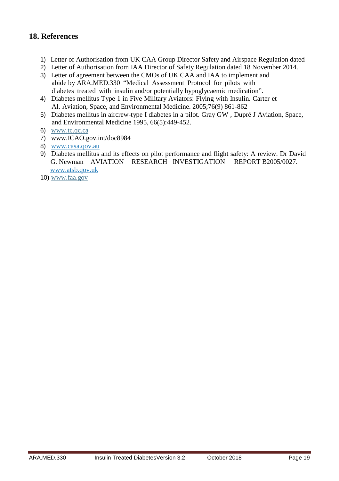### **18. References**

- 1) Letter of Authorisation from UK CAA Group Director Safety and Airspace Regulation dated
- 2) Letter of Authorisation from IAA Director of Safety Regulation dated 18 November 2014.
- 3) Letter of agreement between the CMOs of UK CAA and IAA to implement and abide by ARA.MED.330 "Medical Assessment Protocol for pilots with diabetes treated with insulin and/or potentially hypoglycaemic medication".
- 4) Diabetes mellitus Type 1 in Five Military Aviators: Flying with Insulin. Carter et Al. Aviation, Space, and Environmental Medicine. 2005;76(9) 861-862
- 5) Diabetes mellitus in aircrew-type I diabetes in a pilot. Gray GW , Dupré J Aviation, Space, and Environmental Medicine 1995, 66(5):449-452.
- 6) [www.tc.qc.ca](http://www.tc.qc.ca/)
- 7) [www.ICAO.gov.int/doc8984](http://www.icao.gov.int/doc8984)
- 8) [www.casa.qov.au](http://www.casa.qov.au/)
- 9) Diabetes mellitus and its effects on pilot performance and flight safety: A review. Dr David G. Newman AVIATION RESEARCH INVESTIGATION REPORT B2005/0027. [www.atsb.qov.uk](http://www.atsb.qov.uk/)
- 10) [www.faa.gov](http://www.faa.gov/)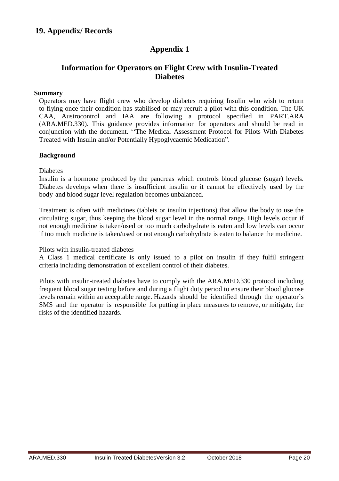# **Appendix 1**

### **Information for Operators on Flight Crew with Insulin-Treated Diabetes**

#### **Summary**

Operators may have flight crew who develop diabetes requiring Insulin who wish to return to flying once their condition has stabilised or may recruit a pilot with this condition. The UK CAA, Austrocontrol and IAA are following a protocol specified in PART.ARA (ARA.MED.330). This guidance provides information for operators and should be read in conjunction with the document. ''The Medical Assessment Protocol for Pilots With Diabetes Treated with Insulin and/or Potentially Hypoglycaemic Medication".

#### **Background**

#### Diabetes

Insulin is a hormone produced by the pancreas which controls blood glucose (sugar) levels. Diabetes develops when there is insufficient insulin or it cannot be effectively used by the body and blood sugar level regulation becomes unbalanced.

Treatment is often with medicines (tablets or insulin injections) that allow the body to use the circulating sugar, thus keeping the blood sugar level in the normal range. High levels occur if not enough medicine is taken/used or too much carbohydrate is eaten and low levels can occur if too much medicine is taken/used or not enough carbohydrate is eaten to balance the medicine.

#### Pilots with insulin-treated diabetes

A Class 1 medical certificate is only issued to a pilot on insulin if they fulfil stringent criteria including demonstration of excellent control of their diabetes.

Pilots with insulin-treated diabetes have to comply with the ARA.MED.330 protocol including frequent blood sugar testing before and during a flight duty period to ensure their blood glucose levels remain within an acceptable range. Hazards should be identified through the operator's SMS and the operator is responsible for putting in place measures to remove, or mitigate, the risks of the identified hazards.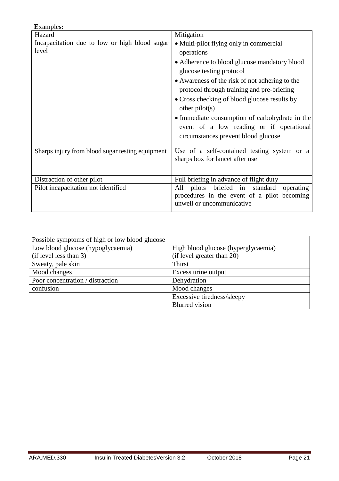| <b>Examples:</b>                                       |                                                                                                                                                                                                                                                                                                                                                                                                                                            |
|--------------------------------------------------------|--------------------------------------------------------------------------------------------------------------------------------------------------------------------------------------------------------------------------------------------------------------------------------------------------------------------------------------------------------------------------------------------------------------------------------------------|
| Hazard                                                 | Mitigation                                                                                                                                                                                                                                                                                                                                                                                                                                 |
| Incapacitation due to low or high blood sugar<br>level | • Multi-pilot flying only in commercial<br>operations<br>• Adherence to blood glucose mandatory blood<br>glucose testing protocol<br>• Awareness of the risk of not adhering to the<br>protocol through training and pre-briefing<br>• Cross checking of blood glucose results by<br>other $pilot(s)$<br>• Immediate consumption of carbohydrate in the<br>event of a low reading or if operational<br>circumstances prevent blood glucose |
| Sharps injury from blood sugar testing equipment       | Use of a self-contained testing system or a<br>sharps box for lancet after use                                                                                                                                                                                                                                                                                                                                                             |
| Distraction of other pilot                             | Full briefing in advance of flight duty                                                                                                                                                                                                                                                                                                                                                                                                    |
| Pilot incapacitation not identified                    | pilots briefed in<br>standard<br>operating<br>All<br>procedures in the event of a pilot becoming<br>unwell or uncommunicative                                                                                                                                                                                                                                                                                                              |

| Possible symptoms of high or low blood glucose |                                     |
|------------------------------------------------|-------------------------------------|
| Low blood glucose (hypoglycaemia)              | High blood glucose (hyperglycaemia) |
| (if level less than 3)                         | (if level greater than 20)          |
| Sweaty, pale skin                              | Thirst                              |
| Mood changes                                   | Excess urine output                 |
| Poor concentration / distraction               | Dehydration                         |
| confusion                                      | Mood changes                        |
|                                                | Excessive tiredness/sleepy          |
|                                                | <b>Blurred</b> vision               |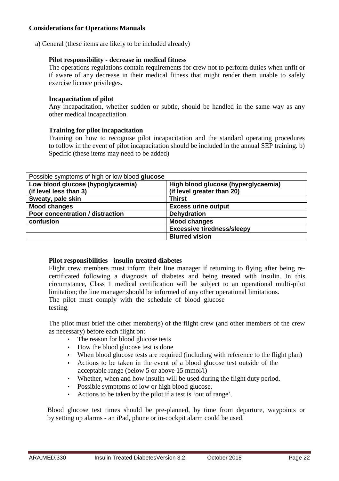### **Considerations for Operations Manuals**

a) General (these items are likely to be included already)

#### **Pilot responsibility - decrease in medical fitness**

The operations regulations contain requirements for crew not to perform duties when unfit or if aware of any decrease in their medical fitness that might render them unable to safely exercise licence privileges.

#### **Incapacitation of pilot**

Any incapacitation, whether sudden or subtle, should be handled in the same way as any other medical incapacitation.

#### **Training for pilot incapacitation**

Training on how to recognise pilot incapacitation and the standard operating procedures to follow in the event of pilot incapacitation should be included in the annual SEP training. b) Specific (these items may need to be added)

| Possible symptoms of high or low blood glucose |                                     |  |
|------------------------------------------------|-------------------------------------|--|
| Low blood glucose (hypoglycaemia)              | High blood glucose (hyperglycaemia) |  |
| (if level less than 3)                         | (if level greater than 20)          |  |
| Sweaty, pale skin                              | <b>Thirst</b>                       |  |
| <b>Mood changes</b>                            | <b>Excess urine output</b>          |  |
| Poor concentration / distraction               | <b>Dehydration</b>                  |  |
| confusion                                      | <b>Mood changes</b>                 |  |
|                                                | <b>Excessive tiredness/sleepy</b>   |  |
|                                                | <b>Blurred vision</b>               |  |

#### **Pilot responsibilities - insulin-treated diabetes**

Flight crew members must inform their line manager if returning to flying after being recertificated following a diagnosis of diabetes and being treated with insulin. In this circumstance, Class 1 medical certification will be subject to an operational multi-pilot limitation; the line manager should be informed of any other operational limitations. The pilot must comply with the schedule of blood glucose testing.

The pilot must brief the other member(s) of the flight crew (and other members of the crew as necessary) before each flight on:

- The reason for blood glucose tests
- How the blood glucose test is done
- When blood glucose tests are required (including with reference to the flight plan)
- Actions to be taken in the event of a blood glucose test outside of the acceptable range (below 5 or above 15 mmol/l)
- Whether, when and how insulin will be used during the flight duty period.
- Possible symptoms of low or high blood glucose.
- Actions to be taken by the pilot if a test is 'out of range'.

Blood glucose test times should be pre-planned, by time from departure, waypoints or by setting up alarms - an iPad, phone or in-cockpit alarm could be used.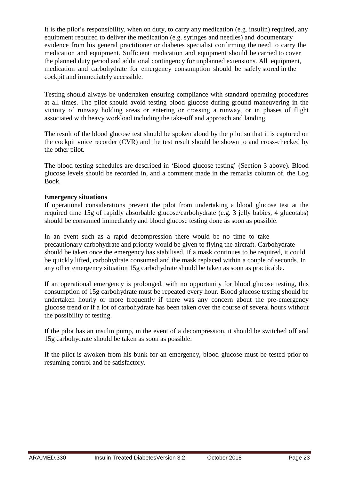It is the pilot's responsibility, when on duty, to carry any medication (e.g. insulin) required, any equipment required to deliver the medication (e.g. syringes and needles) and documentary evidence from his general practitioner or diabetes specialist confirming the need to carry the medication and equipment. Sufficient medication and equipment should be carried to cover the planned duty period and additional contingency for unplanned extensions. All equipment, medication and carbohydrate for emergency consumption should be safely stored in the cockpit and immediately accessible.

Testing should always be undertaken ensuring compliance with standard operating procedures at all times. The pilot should avoid testing blood glucose during ground maneuvering in the vicinity of runway holding areas or entering or crossing a runway, or in phases of flight associated with heavy workload including the take-off and approach and landing.

The result of the blood glucose test should be spoken aloud by the pilot so that it is captured on the cockpit voice recorder (CVR) and the test result should be shown to and cross-checked by the other pilot.

The blood testing schedules are described in 'Blood glucose testing' (Section 3 above). Blood glucose levels should be recorded in, and a comment made in the remarks column of, the Log Book.

#### **Emergency situations**

If operational considerations prevent the pilot from undertaking a blood glucose test at the required time 15g of rapidly absorbable glucose/carbohydrate (e.g. 3 jelly babies, 4 glucotabs) should be consumed immediately and blood glucose testing done as soon as possible.

In an event such as a rapid decompression there would be no time to take precautionary carbohydrate and priority would be given to flying the aircraft. Carbohydrate should be taken once the emergency has stabilised. If a mask continues to be required, it could be quickly lifted, carbohydrate consumed and the mask replaced within a couple of seconds. In any other emergency situation 15g carbohydrate should be taken as soon as practicable.

If an operational emergency is prolonged, with no opportunity for blood glucose testing, this consumption of 15g carbohydrate must be repeated every hour. Blood glucose testing should be undertaken hourly or more frequently if there was any concern about the pre-emergency glucose trend or if a lot of carbohydrate has been taken over the course of several hours without the possibility of testing.

If the pilot has an insulin pump, in the event of a decompression, it should be switched off and 15g carbohydrate should be taken as soon as possible.

If the pilot is awoken from his bunk for an emergency, blood glucose must be tested prior to resuming control and be satisfactory.